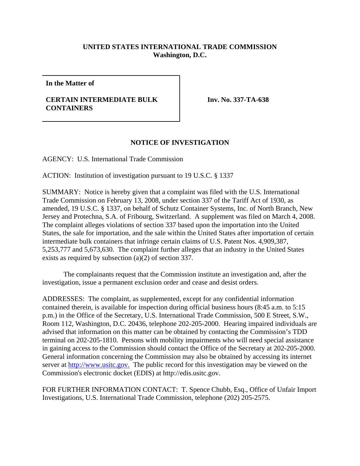## **UNITED STATES INTERNATIONAL TRADE COMMISSION Washington, D.C.**

**In the Matter of**

## **CERTAIN INTERMEDIATE BULK CONTAINERS**

**Inv. No. 337-TA-638**

## **NOTICE OF INVESTIGATION**

AGENCY: U.S. International Trade Commission

ACTION: Institution of investigation pursuant to 19 U.S.C. § 1337

SUMMARY: Notice is hereby given that a complaint was filed with the U.S. International Trade Commission on February 13, 2008, under section 337 of the Tariff Act of 1930, as amended, 19 U.S.C. § 1337, on behalf of Schutz Container Systems, Inc. of North Branch, New Jersey and Protechna, S.A. of Fribourg, Switzerland. A supplement was filed on March 4, 2008. The complaint alleges violations of section 337 based upon the importation into the United States, the sale for importation, and the sale within the United States after importation of certain intermediate bulk containers that infringe certain claims of U.S. Patent Nos. 4,909,387, 5,253,777 and 5,673,630. The complaint further alleges that an industry in the United States exists as required by subsection (a)(2) of section 337.

The complainants request that the Commission institute an investigation and, after the investigation, issue a permanent exclusion order and cease and desist orders.

ADDRESSES: The complaint, as supplemented, except for any confidential information contained therein, is available for inspection during official business hours (8:45 a.m. to 5:15 p.m.) in the Office of the Secretary, U.S. International Trade Commission, 500 E Street, S.W., Room 112, Washington, D.C. 20436, telephone 202-205-2000. Hearing impaired individuals are advised that information on this matter can be obtained by contacting the Commission's TDD terminal on 202-205-1810. Persons with mobility impairments who will need special assistance in gaining access to the Commission should contact the Office of the Secretary at 202-205-2000. General information concerning the Commission may also be obtained by accessing its internet server at http://www.usitc.gov. The public record for this investigation may be viewed on the Commission's electronic docket (EDIS) at http://edis.usitc.gov.

FOR FURTHER INFORMATION CONTACT: T. Spence Chubb, Esq., Office of Unfair Import Investigations, U.S. International Trade Commission, telephone (202) 205-2575.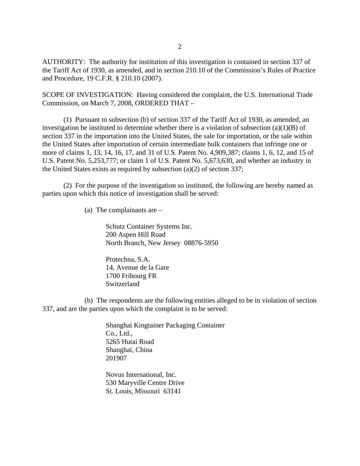AUTHORITY: The authority for institution of this investigation is contained in section 337 of the Tariff Act of 1930, as amended, and in section 210.10 of the Commission's Rules of Practice and Procedure, 19 C.F.R. § 210.10 (2007).

SCOPE OF INVESTIGATION: Having considered the complaint, the U.S. International Trade Commission, on March 7, 2008, ORDERED THAT –

(1) Pursuant to subsection (b) of section 337 of the Tariff Act of 1930, as amended, an investigation be instituted to determine whether there is a violation of subsection (a)(1)(B) of section 337 in the importation into the United States, the sale for importation, or the sale within the United States after importation of certain intermediate bulk containers that infringe one or more of claims 1, 13, 14, 16, 17, and 31 of U.S. Patent No. 4,909,387; claims 1, 6, 12, and 15 of U.S. Patent No. 5,253,777; or claim 1 of U.S. Patent No. 5,673,630, and whether an industry in the United States exists as required by subsection (a)(2) of section 337;

(2) For the purpose of the investigation so instituted, the following are hereby named as parties upon which this notice of investigation shall be served:

(a) The complainants are –

Schutz Container Systems Inc. 200 Aspen Hill Road North Branch, New Jersey 08876-5950

Protechna, S.A. 14, Avenue de la Gare 1700 Fribourg FR Switzerland

(b) The respondents are the following entities alleged to be in violation of section 337, and are the parties upon which the complaint is to be served:

> Shanghai Kingtainer Packaging Container Co., Ltd., 5265 Hutai Road Shanghai, China 201907

Novus International, Inc. 530 Maryville Centre Drive St. Louis, Missouri 63141